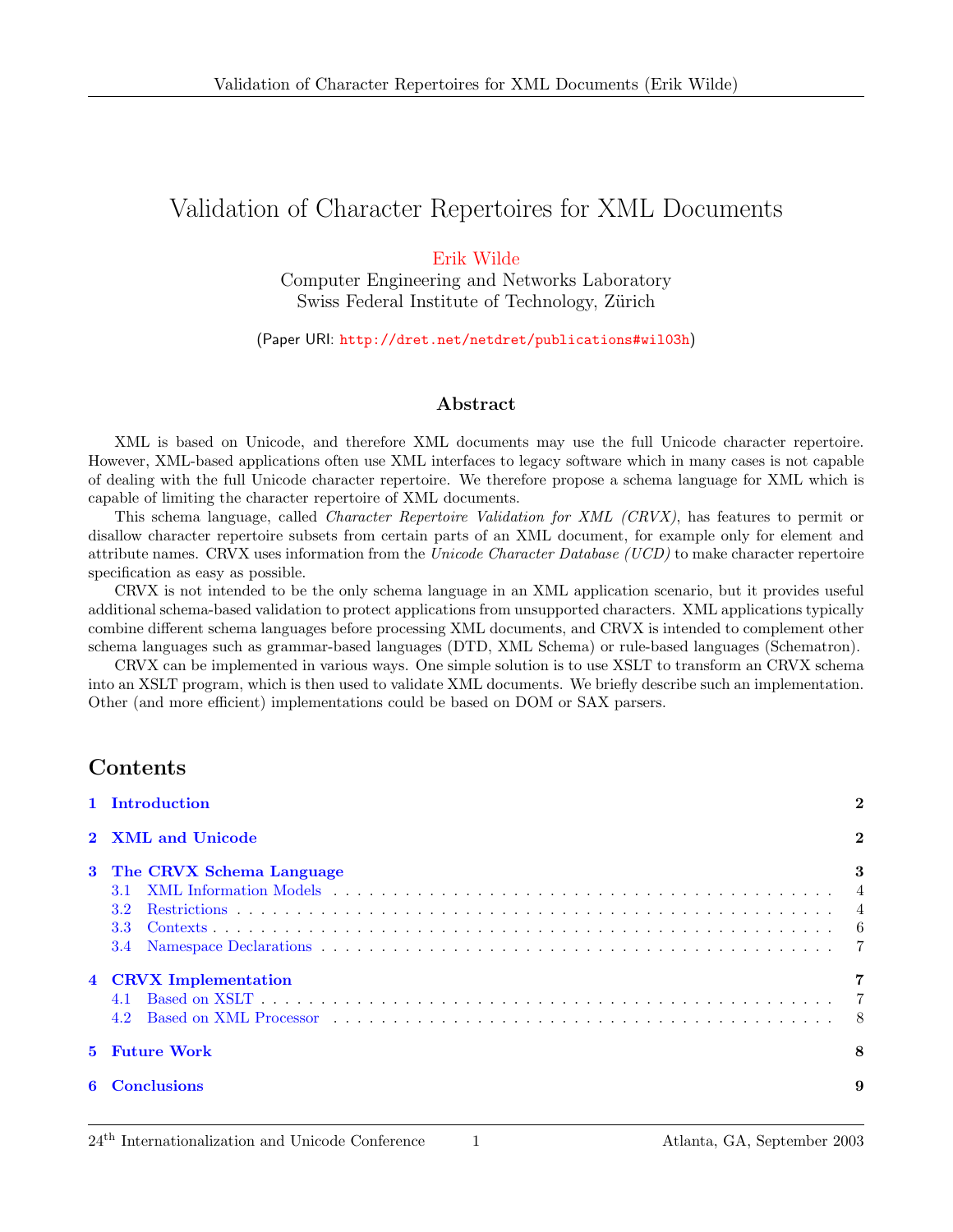# Validation of Character Repertoires for XML Documents

#### [Erik Wilde](http://dret.net/netdret/)

Computer Engineering and Networks Laboratory Swiss Federal Institute of Technology, Zürich

#### (Paper URI: <http://dret.net/netdret/publications#wil03h>)

#### Abstract

XML is based on Unicode, and therefore XML documents may use the full Unicode character repertoire. However, XML-based applications often use XML interfaces to legacy software which in many cases is not capable of dealing with the full Unicode character repertoire. We therefore propose a schema language for XML which is capable of limiting the character repertoire of XML documents.

This schema language, called *Character Repertoire Validation for XML (CRVX)*, has features to permit or disallow character repertoire subsets from certain parts of an XML document, for example only for element and attribute names. CRVX uses information from the Unicode Character Database (UCD) to make character repertoire specification as easy as possible.

CRVX is not intended to be the only schema language in an XML application scenario, but it provides useful additional schema-based validation to protect applications from unsupported characters. XML applications typically combine different schema languages before processing XML documents, and CRVX is intended to complement other schema languages such as grammar-based languages (DTD, XML Schema) or rule-based languages (Schematron).

CRVX can be implemented in various ways. One simple solution is to use XSLT to transform an CRVX schema into an XSLT program, which is then used to validate XML documents. We briefly describe such an implementation. Other (and more efficient) implementations could be based on DOM or SAX parsers.

#### Contents

| 1 Introduction                                  | $\bf{2}$ |
|-------------------------------------------------|----------|
| 2 XML and Unicode                               | $\bf{2}$ |
| 3 The CRVX Schema Language<br>3.2<br>3.3<br>3.4 | 3        |
| 4 CRVX Implementation<br>4.1<br>4.2             |          |
| 5 Future Work                                   | 8        |
| <b>Conclusions</b>                              | 9        |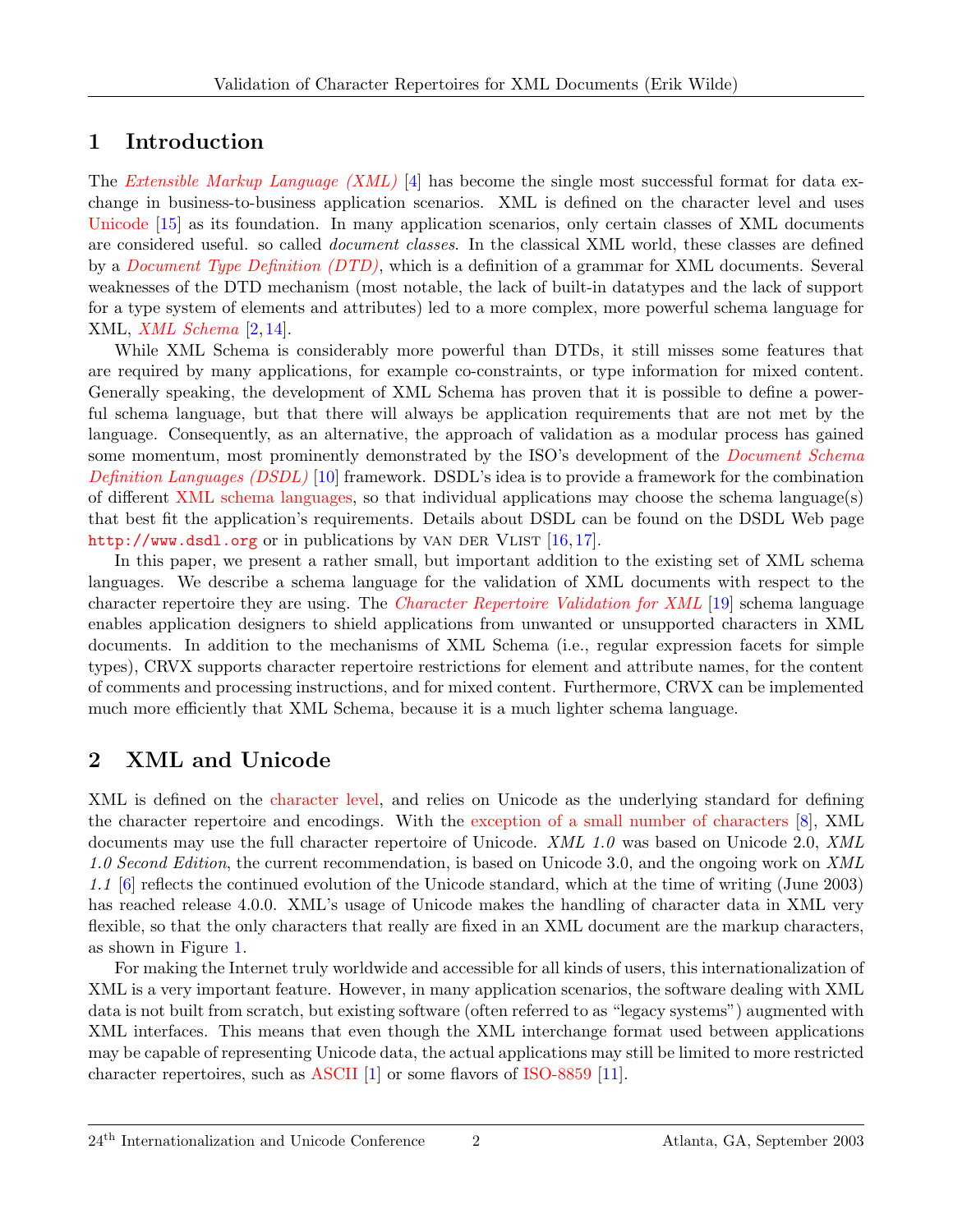# <span id="page-1-0"></span>1 Introduction

The [Extensible Markup Language \(XML\)](http://dret.net/glossary/xml) [\[4\]](#page-8-0) has become the single most successful format for data exchange in business-to-business application scenarios. XML is defined on the character level and uses [Unicode](http://dret.net/glossary/unicode) [\[15\]](#page-9-0) as its foundation. In many application scenarios, only certain classes of XML documents are considered useful. so called document classes. In the classical XML world, these classes are defined by a *[Document Type Definition \(DTD\)](http://dret.net/glossary/dtd)*, which is a definition of a grammar for XML documents. Several weaknesses of the DTD mechanism (most notable, the lack of built-in datatypes and the lack of support for a type system of elements and attributes) led to a more complex, more powerful schema language for XML, [XML Schema](http://dret.net/glossary/xmlschema) [\[2,](#page-8-0) [14\]](#page-9-0).

While XML Schema is considerably more powerful than DTDs, it still misses some features that are required by many applications, for example co-constraints, or type information for mixed content. Generally speaking, the development of XML Schema has proven that it is possible to define a powerful schema language, but that there will always be application requirements that are not met by the language. Consequently, as an alternative, the approach of validation as a modular process has gained some momentum, most prominently demonstrated by the ISO's development of the *[Document Schema](http://dret.net/glossary/dsdl)* [Definition Languages \(DSDL\)](http://dret.net/glossary/dsdl) [\[10\]](#page-8-0) framework. DSDL's idea is to provide a framework for the combination of different [XML schema languages,](http://dret.net/glossary/xmlschemalanguage) so that individual applications may choose the schema language(s) that best fit the application's requirements. Details about DSDL can be found on the DSDL Web page <http://www.dsdl.org> or in publications by VAN DER VLIST  $[16, 17]$  $[16, 17]$  $[16, 17]$ .

In this paper, we present a rather small, but important addition to the existing set of XML schema languages. We describe a schema language for the validation of XML documents with respect to the character repertoire they are using. The *[Character Repertoire Validation for XML](http://dret.net/glossary/crvx)* [\[19\]](#page-9-0) schema language enables application designers to shield applications from unwanted or unsupported characters in XML documents. In addition to the mechanisms of XML Schema (i.e., regular expression facets for simple types), CRVX supports character repertoire restrictions for element and attribute names, for the content of comments and processing instructions, and for mixed content. Furthermore, CRVX can be implemented much more efficiently that XML Schema, because it is a much lighter schema language.

# 2 XML and Unicode

XML is defined on the [character level,](http://www.w3.org/TR/REC-xml#charsets) and relies on Unicode as the underlying standard for defining the character repertoire and encodings. With the [exception of a small number of characters](http://www.w3.org/TR/unicode-xml/#Suitable) [\[8\]](#page-8-0), XML documents may use the full character repertoire of Unicode. XML 1.0 was based on Unicode 2.0, XML 1.0 Second Edition, the current recommendation, is based on Unicode 3.0, and the ongoing work on XML 1.1 [\[6\]](#page-8-0) reflects the continued evolution of the Unicode standard, which at the time of writing (June 2003) has reached release 4.0.0. XML's usage of Unicode makes the handling of character data in XML very flexible, so that the only characters that really are fixed in an XML document are the markup characters, as shown in Figure [1.](#page-2-0)

For making the Internet truly worldwide and accessible for all kinds of users, this internationalization of XML is a very important feature. However, in many application scenarios, the software dealing with XML data is not built from scratch, but existing software (often referred to as "legacy systems") augmented with XML interfaces. This means that even though the XML interchange format used between applications may be capable of representing Unicode data, the actual applications may still be limited to more restricted character repertoires, such as [ASCII](http://dret.net/glossary/ascii) [\[1\]](#page-8-0) or some flavors of [ISO-8859](http://dret.net/glossary/iso8859) [\[11\]](#page-9-0).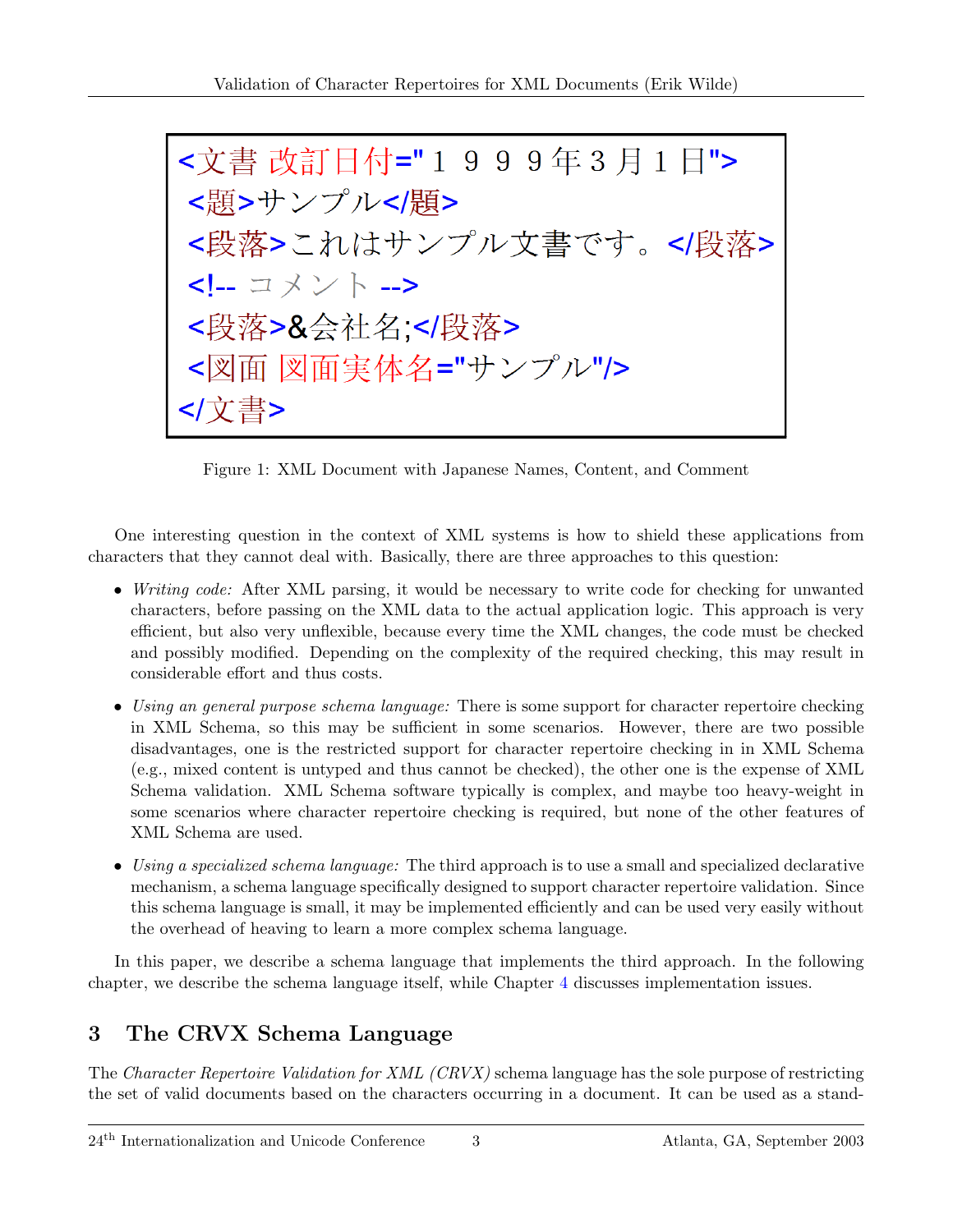<span id="page-2-0"></span><文書改訂日付="1999年3月1日"> <題>サンプル<題><br><題>サンプル</題><br><段落>これはサンプル文書です。<br><!-- コメント --><br><段落>&会社名;</段落><br><図面 図面実体名="サンプル"/>

Figure 1: XML Document with Japanese Names, Content, and Comment

One interesting question in the context of XML systems is how to shield these applications from characters that they cannot deal with. Basically, there are three approaches to this question:

- Writing code: After XML parsing, it would be necessary to write code for checking for unwanted characters, before passing on the XML data to the actual application logic. This approach is very efficient, but also very unflexible, because every time the XML changes, the code must be checked and possibly modified. Depending on the complexity of the required checking, this may result in considerable effort and thus costs.
- Using an general purpose schema language: There is some support for character repertoire checking in XML Schema, so this may be sufficient in some scenarios. However, there are two possible disadvantages, one is the restricted support for character repertoire checking in in XML Schema (e.g., mixed content is untyped and thus cannot be checked), the other one is the expense of XML Schema validation. XML Schema software typically is complex, and maybe too heavy-weight in some scenarios where character repertoire checking is required, but none of the other features of XML Schema are used.
- Using a specialized schema language: The third approach is to use a small and specialized declarative mechanism, a schema language specifically designed to support character repertoire validation. Since this schema language is small, it may be implemented efficiently and can be used very easily without the overhead of heaving to learn a more complex schema language.

In this paper, we describe a schema language that implements the third approach. In the following chapter, we describe the schema language itself, while Chapter [4](#page-6-0) discusses implementation issues.

# 3 The CRVX Schema Language

The Character Repertoire Validation for XML (CRVX) schema language has the sole purpose of restricting the set of valid documents based on the characters occurring in a document. It can be used as a stand-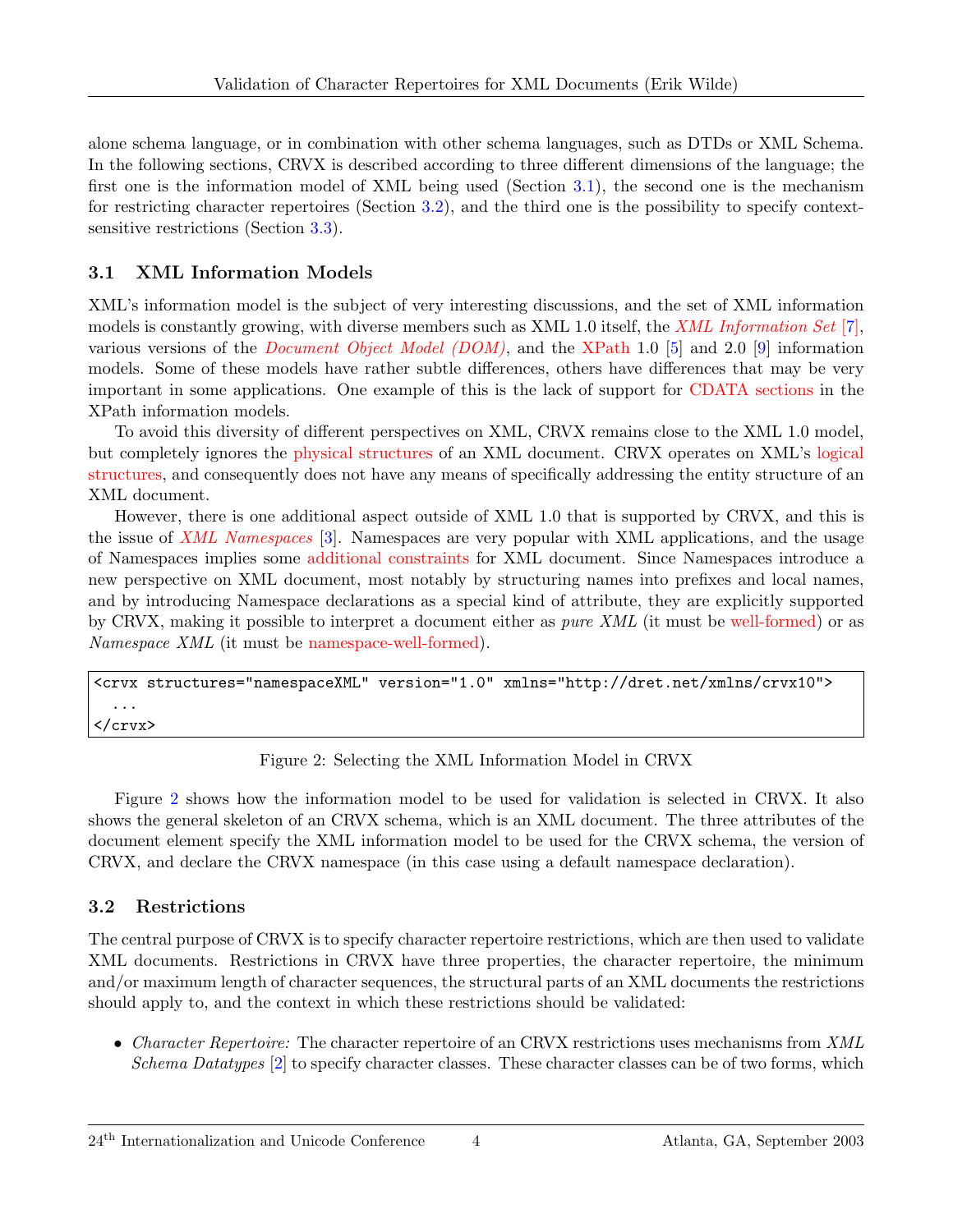<span id="page-3-0"></span>alone schema language, or in combination with other schema languages, such as DTDs or XML Schema. In the following sections, CRVX is described according to three different dimensions of the language; the first one is the information model of XML being used (Section 3.1), the second one is the mechanism for restricting character repertoires (Section 3.2), and the third one is the possibility to specify contextsensitive restrictions (Section [3.3\)](#page-5-0).

### 3.1 XML Information Models

XML's information model is the subject of very interesting discussions, and the set of XML information models is constantly growing, with diverse members such as XML 1.0 itself, the *[XML Information Set](http://dret.net/glossary/xmlinfoset)* [\[7](#page-8-0)[\],](http://dret.net/glossary/xmlinfoset) various versions of the *[Document Object Model \(DOM\)](http://dret.net/glossary/dom)*, and the [XPath](http://dret.net/glossary/xpath) 1.0 [\[5\]](#page-8-0) and 2.0 [\[9\]](#page-8-0) information models. Some of these models have rather subtle differences, others have differences that may be very important in some applications. One example of this is the lack of support for [CDATA sections](http://www.w3.org/TR/REC-xml#sec-cdata-sect) in the XPath information models.

To avoid this diversity of different perspectives on XML, CRVX remains close to the XML 1.0 model, but completely ignores the [physical structures](http://www.w3.org/TR/REC-xml#sec-physical-struct) of an XML document. CRVX operates on XML's [logical](http://www.w3.org/TR/REC-xml#sec-logical-struct) [structures,](http://www.w3.org/TR/REC-xml#sec-logical-struct) and consequently does not have any means of specifically addressing the entity structure of an XML document.

However, there is one additional aspect outside of XML 1.0 that is supported by CRVX, and this is the issue of [XML Namespaces](http://dret.net/glossary/xmlns) [\[3\]](#page-8-0). Namespaces are very popular with XML applications, and the usage of Namespaces implies some [additional constraints](http://www.w3.org/TR/xml-names11/#Conformance) for XML document. Since Namespaces introduce a new perspective on XML document, most notably by structuring names into prefixes and local names, and by introducing Namespace declarations as a special kind of attribute, they are explicitly supported by CRVX, making it possible to interpret a document either as *pure XML* (it must be [well-formed\)](http://www.w3.org/TR/REC-xml#sec-well-formed) or as Namespace XML (it must be [namespace-well-formed\)](http://www.w3.org/TR/xml-names11/#dt-nwf).

```
<crvx structures="namespaceXML" version="1.0" xmlns="http://dret.net/xmlns/crvx10">
  ...
</crvx>
```
Figure 2: Selecting the XML Information Model in CRVX

Figure 2 shows how the information model to be used for validation is selected in CRVX. It also shows the general skeleton of an CRVX schema, which is an XML document. The three attributes of the document element specify the XML information model to be used for the CRVX schema, the version of CRVX, and declare the CRVX namespace (in this case using a default namespace declaration).

### 3.2 Restrictions

The central purpose of CRVX is to specify character repertoire restrictions, which are then used to validate XML documents. Restrictions in CRVX have three properties, the character repertoire, the minimum and/or maximum length of character sequences, the structural parts of an XML documents the restrictions should apply to, and the context in which these restrictions should be validated:

• Character Repertoire: The character repertoire of an CRVX restrictions uses mechanisms from XML Schema Datatypes [\[2\]](#page-8-0) to specify character classes. These character classes can be of two forms, which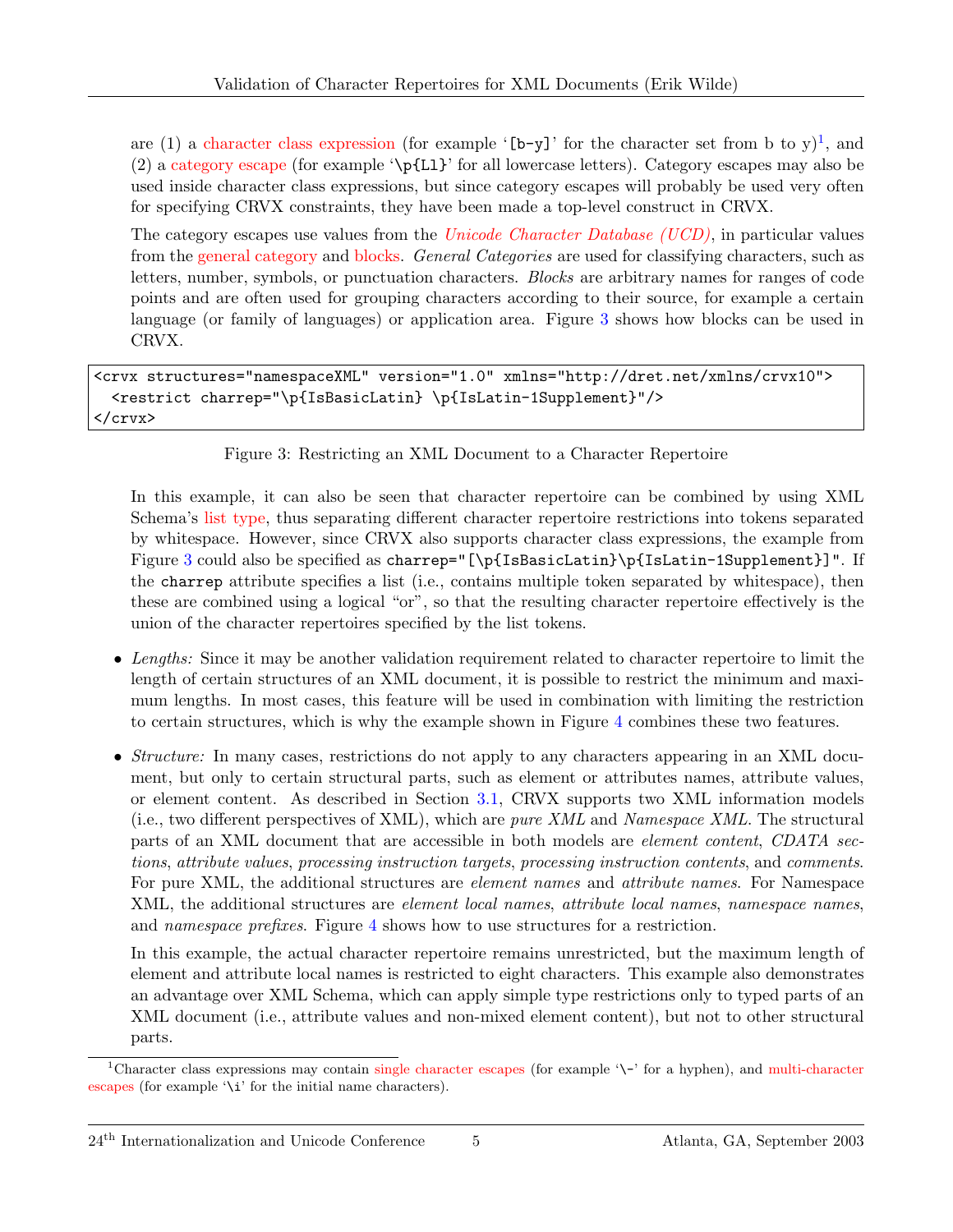are (1) a [character class expression](http://www.w3.org/TR/xmlschema-2/#nt-charClassExpr) (for example '[b-y]' for the character set from b to y)<sup>1</sup>, and (2) a [category escape](http://www.w3.org/TR/xmlschema-2/#nt-catEsc) (for example '\p{Ll}' for all lowercase letters). Category escapes may also be used inside character class expressions, but since category escapes will probably be used very often for specifying CRVX constraints, they have been made a top-level construct in CRVX.

The category escapes use values from the *[Unicode Character Database \(UCD\)](http://dret.net/glossary/ucd)*, in particular values from the [general category](http://www.unicode.org/Public/UNIDATA/UCD.html#General_Category_Values) and [blocks.](http://www.unicode.org/Public/UNIDATA/UCD.html#Block) General Categories are used for classifying characters, such as letters, number, symbols, or punctuation characters. Blocks are arbitrary names for ranges of code points and are often used for grouping characters according to their source, for example a certain language (or family of languages) or application area. Figure 3 shows how blocks can be used in CRVX.

```
<crvx structures="namespaceXML" version="1.0" xmlns="http://dret.net/xmlns/crvx10">
 <restrict charrep="\p{IsBasicLatin} \p{IsLatin-1Supplement}"/>
</crvx>
```
#### Figure 3: Restricting an XML Document to a Character Repertoire

In this example, it can also be seen that character repertoire can be combined by using XML Schema's [list type,](http://www.w3.org/TR/xmlschema-2/#list-datatypes) thus separating different character repertoire restrictions into tokens separated by whitespace. However, since CRVX also supports character class expressions, the example from Figure 3 could also be specified as charrep="[\p{IsBasicLatin}\p{IsLatin-1Supplement}]". If the charrep attribute specifies a list (i.e., contains multiple token separated by whitespace), then these are combined using a logical "or", so that the resulting character repertoire effectively is the union of the character repertoires specified by the list tokens.

- Lengths: Since it may be another validation requirement related to character repertoire to limit the length of certain structures of an XML document, it is possible to restrict the minimum and maximum lengths. In most cases, this feature will be used in combination with limiting the restriction to certain structures, which is why the example shown in Figure [4](#page-5-0) combines these two features.
- Structure: In many cases, restrictions do not apply to any characters appearing in an XML document, but only to certain structural parts, such as element or attributes names, attribute values, or element content. As described in Section [3.1,](#page-3-0) CRVX supports two XML information models (i.e., two different perspectives of XML), which are pure XML and Namespace XML. The structural parts of an XML document that are accessible in both models are element content, CDATA sections, attribute values, processing instruction targets, processing instruction contents, and comments. For pure XML, the additional structures are *element names* and *attribute names*. For Namespace XML, the additional structures are *element local names*, *attribute local names*, *namespace names*, and namespace prefixes. Figure [4](#page-5-0) shows how to use structures for a restriction.

In this example, the actual character repertoire remains unrestricted, but the maximum length of element and attribute local names is restricted to eight characters. This example also demonstrates an advantage over XML Schema, which can apply simple type restrictions only to typed parts of an XML document (i.e., attribute values and non-mixed element content), but not to other structural parts.

<sup>&</sup>lt;sup>1</sup>Character class expressions may contain [single character escapes](http://www.w3.org/TR/xmlschema-2/#nt-SingleCharEsc) (for example '\-' for a hyphen), and [multi-character](http://www.w3.org/TR/xmlschema-2/#nt-MultiCharEsc) [escapes](http://www.w3.org/TR/xmlschema-2/#nt-MultiCharEsc) (for example '\i' for the initial name characters).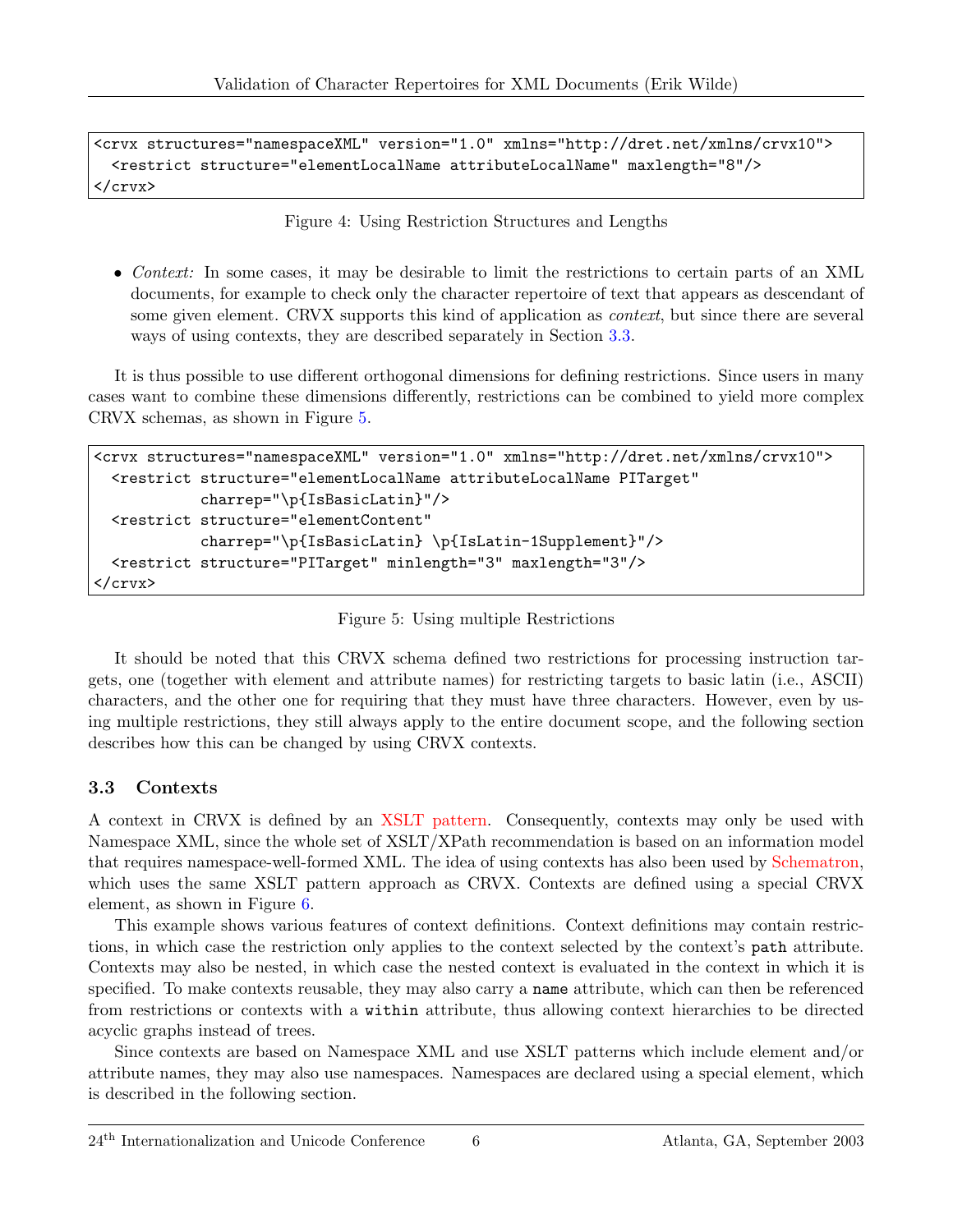<span id="page-5-0"></span><crvx structures="namespaceXML" version="1.0" xmlns="http://dret.net/xmlns/crvx10"> <restrict structure="elementLocalName attributeLocalName" maxlength="8"/> </crvx>

Figure 4: Using Restriction Structures and Lengths

• Context: In some cases, it may be desirable to limit the restrictions to certain parts of an XML documents, for example to check only the character repertoire of text that appears as descendant of some given element. CRVX supports this kind of application as *context*, but since there are several ways of using contexts, they are described separately in Section 3.3.

It is thus possible to use different orthogonal dimensions for defining restrictions. Since users in many cases want to combine these dimensions differently, restrictions can be combined to yield more complex CRVX schemas, as shown in Figure 5.

```
<crvx structures="namespaceXML" version="1.0" xmlns="http://dret.net/xmlns/crvx10">
  <restrict structure="elementLocalName attributeLocalName PITarget"
            charrep="\p{IsBasicLatin}"/>
 <restrict structure="elementContent"
            charrep="\p{IsBasicLatin} \p{IsLatin-1Supplement}"/>
 <restrict structure="PITarget" minlength="3" maxlength="3"/>
</crvx>
```
Figure 5: Using multiple Restrictions

It should be noted that this CRVX schema defined two restrictions for processing instruction targets, one (together with element and attribute names) for restricting targets to basic latin (i.e., ASCII) characters, and the other one for requiring that they must have three characters. However, even by using multiple restrictions, they still always apply to the entire document scope, and the following section describes how this can be changed by using CRVX contexts.

### 3.3 Contexts

A context in CRVX is defined by an [XSLT pattern.](http://www.w3.org/TR/xslt20/#patterns) Consequently, contexts may only be used with Namespace XML, since the whole set of XSLT/XPath recommendation is based on an information model that requires namespace-well-formed XML. The idea of using contexts has also been used by [Schematron,](http://dret.net/glossary/schematron) which uses the same XSLT pattern approach as CRVX. Contexts are defined using a special CRVX element, as shown in Figure [6.](#page-6-0)

This example shows various features of context definitions. Context definitions may contain restrictions, in which case the restriction only applies to the context selected by the context's path attribute. Contexts may also be nested, in which case the nested context is evaluated in the context in which it is specified. To make contexts reusable, they may also carry a name attribute, which can then be referenced from restrictions or contexts with a within attribute, thus allowing context hierarchies to be directed acyclic graphs instead of trees.

Since contexts are based on Namespace XML and use XSLT patterns which include element and/or attribute names, they may also use namespaces. Namespaces are declared using a special element, which is described in the following section.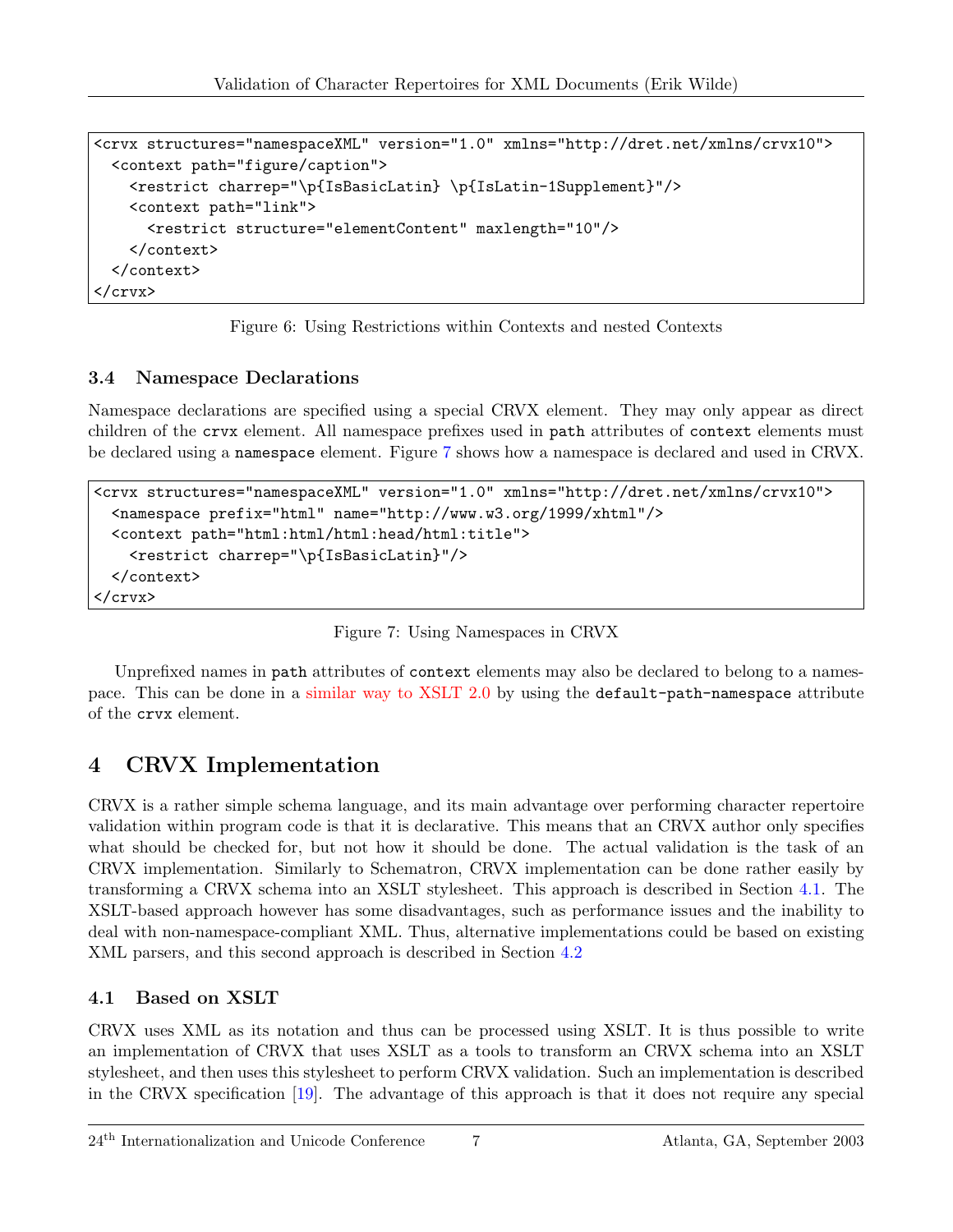```
<crvx structures="namespaceXML" version="1.0" xmlns="http://dret.net/xmlns/crvx10">
 <context path="figure/caption">
    <restrict charrep="\p{IsBasicLatin} \p{IsLatin-1Supplement}"/>
   <context path="link">
      <restrict structure="elementContent" maxlength="10"/>
   </context>
 </context>
</crvx>
```
Figure 6: Using Restrictions within Contexts and nested Contexts

## 3.4 Namespace Declarations

Namespace declarations are specified using a special CRVX element. They may only appear as direct children of the crvx element. All namespace prefixes used in path attributes of context elements must be declared using a namespace element. Figure 7 shows how a namespace is declared and used in CRVX.

```
<crvx structures="namespaceXML" version="1.0" xmlns="http://dret.net/xmlns/crvx10">
  <namespace prefix="html" name="http://www.w3.org/1999/xhtml"/>
  <context path="html:html/html:head/html:title">
    <restrict charrep="\p{IsBasicLatin}"/>
  </context>
</crvx>
```
Figure 7: Using Namespaces in CRVX

Unprefixed names in path attributes of context elements may also be declared to belong to a namespace. This can be done in a [similar way to XSLT 2.0](http://www.w3.org/TR/xslt20/#unprefixed-qnames) by using the default-path-namespace attribute of the crvx element.

# 4 CRVX Implementation

CRVX is a rather simple schema language, and its main advantage over performing character repertoire validation within program code is that it is declarative. This means that an CRVX author only specifies what should be checked for, but not how it should be done. The actual validation is the task of an CRVX implementation. Similarly to Schematron, CRVX implementation can be done rather easily by transforming a CRVX schema into an XSLT stylesheet. This approach is described in Section 4.1. The XSLT-based approach however has some disadvantages, such as performance issues and the inability to deal with non-namespace-compliant XML. Thus, alternative implementations could be based on existing XML parsers, and this second approach is described in Section [4.2](#page-7-0)

## 4.1 Based on XSLT

CRVX uses XML as its notation and thus can be processed using XSLT. It is thus possible to write an implementation of CRVX that uses XSLT as a tools to transform an CRVX schema into an XSLT stylesheet, and then uses this stylesheet to perform CRVX validation. Such an implementation is described in the CRVX specification [\[19\]](#page-9-0). The advantage of this approach is that it does not require any special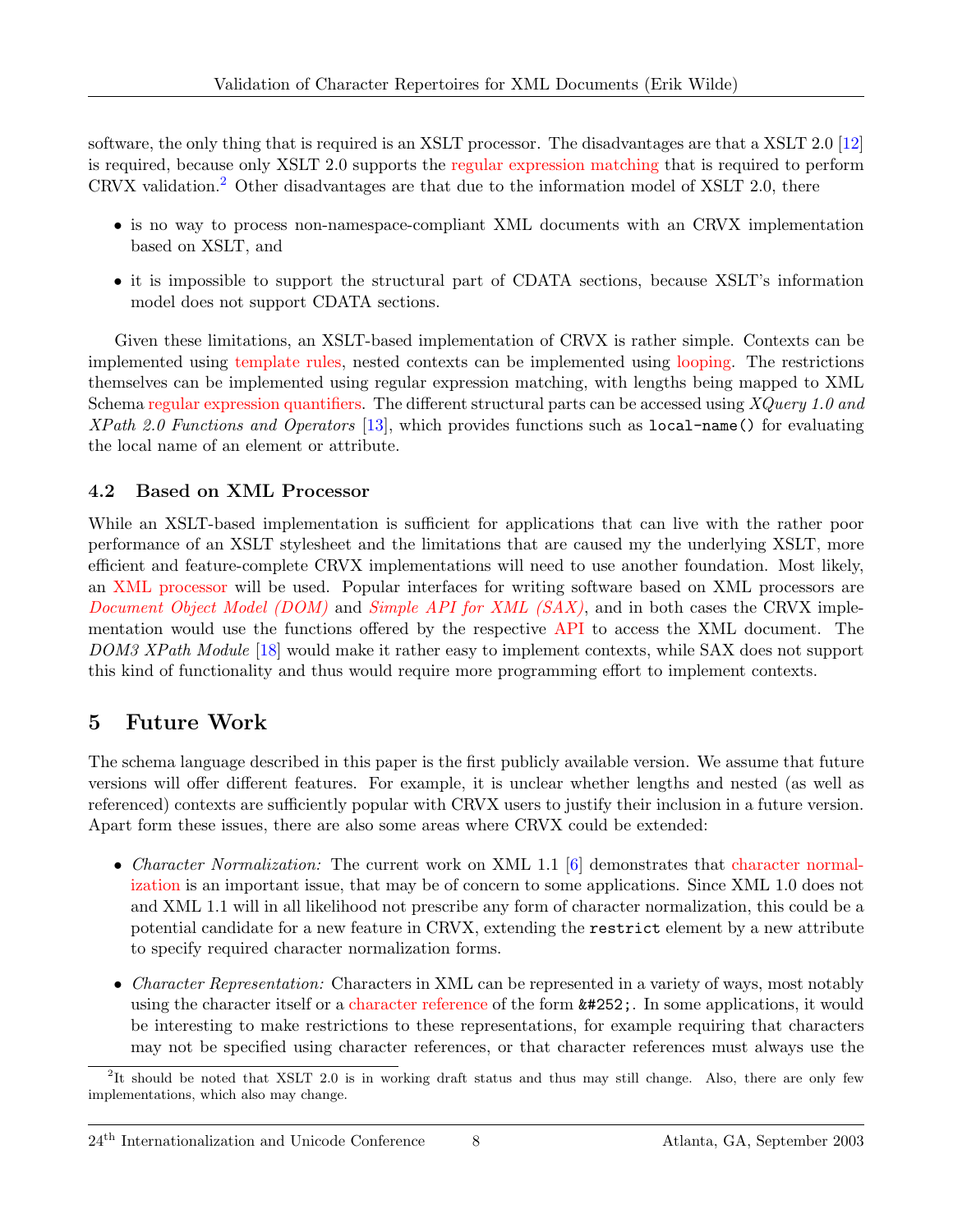<span id="page-7-0"></span>software, the only thing that is required is an XSLT processor. The disadvantages are that a XSLT 2.0 [\[12\]](#page-9-0) is required, because only XSLT 2.0 supports the [regular expression matching](http://www.w3.org/TR/xslt20/#regular-expressions) that is required to perform  $CRVX$  validation.<sup>2</sup> Other disadvantages are that due to the information model of XSLT 2.0, there

- is no way to process non-namespace-compliant XML documents with an CRVX implementation based on XSLT, and
- it is impossible to support the structural part of CDATA sections, because XSLT's information model does not support CDATA sections.

Given these limitations, an XSLT-based implementation of CRVX is rather simple. Contexts can be implemented using [template rules,](http://www.w3.org/TR/xslt20/#rules) nested contexts can be implemented using [looping.](http://www.w3.org/TR/xslt20/#for-each) The restrictions themselves can be implemented using regular expression matching, with lengths being mapped to XML Schema [regular expression quantifiers.](http://www.w3.org/TR/xmlschema-2/#nt-quantifier) The different structural parts can be accessed using  $XQuery 1.0$  and XPath 2.0 Functions and Operators [\[13\]](#page-9-0), which provides functions such as  $local$ -name() for evaluating the local name of an element or attribute.

### 4.2 Based on XML Processor

While an XSLT-based implementation is sufficient for applications that can live with the rather poor performance of an XSLT stylesheet and the limitations that are caused my the underlying XSLT, more efficient and feature-complete CRVX implementations will need to use another foundation. Most likely, an [XML processor](http://www.w3.org/TR/REC-xml#dt-xml-proc) will be used. Popular interfaces for writing software based on XML processors are [Document Object Model \(DOM\)](http://dret.net/glossary/dom) and [Simple API for XML \(SAX\)](http://dret.net/glossary/sax), and in both cases the CRVX implementation would use the functions offered by the respective [API](http://dret.net/glossary/api) to access the XML document. The DOM3 XPath Module [\[18\]](#page-9-0) would make it rather easy to implement contexts, while SAX does not support this kind of functionality and thus would require more programming effort to implement contexts.

## 5 Future Work

The schema language described in this paper is the first publicly available version. We assume that future versions will offer different features. For example, it is unclear whether lengths and nested (as well as referenced) contexts are sufficiently popular with CRVX users to justify their inclusion in a future version. Apart form these issues, there are also some areas where CRVX could be extended:

- *Character Normalization:* The current work on XML 1.1 [\[6\]](#page-8-0) demonstrates that [character normal](http://www.w3.org/TR/charmod/#sec-Normalization)[ization](http://www.w3.org/TR/charmod/#sec-Normalization) is an important issue, that may be of concern to some applications. Since XML 1.0 does not and XML 1.1 will in all likelihood not prescribe any form of character normalization, this could be a potential candidate for a new feature in CRVX, extending the restrict element by a new attribute to specify required character normalization forms.
- Character Representation: Characters in XML can be represented in a variety of ways, most notably using the character itself or a [character reference](http://www.w3.org/TR/REC-xml#dt-charref) of the form  $\&\#252$ . In some applications, it would be interesting to make restrictions to these representations, for example requiring that characters may not be specified using character references, or that character references must always use the

<sup>&</sup>lt;sup>2</sup>It should be noted that XSLT 2.0 is in working draft status and thus may still change. Also, there are only few implementations, which also may change.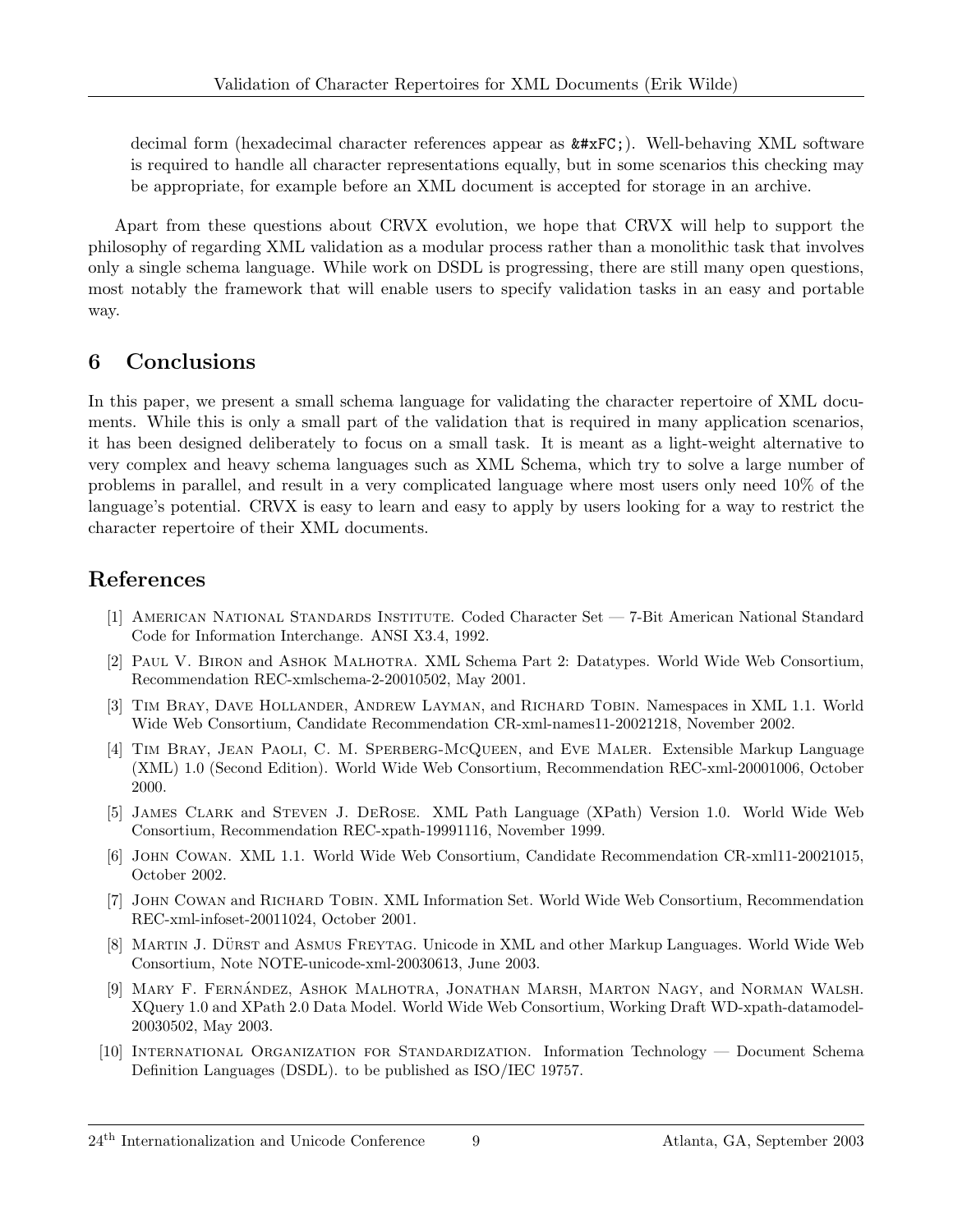<span id="page-8-0"></span>decimal form (hexadecimal character references appear as  $\&\#xFC$ ;). Well-behaving XML software is required to handle all character representations equally, but in some scenarios this checking may be appropriate, for example before an XML document is accepted for storage in an archive.

Apart from these questions about CRVX evolution, we hope that CRVX will help to support the philosophy of regarding XML validation as a modular process rather than a monolithic task that involves only a single schema language. While work on DSDL is progressing, there are still many open questions, most notably the framework that will enable users to specify validation tasks in an easy and portable way.

# 6 Conclusions

In this paper, we present a small schema language for validating the character repertoire of XML documents. While this is only a small part of the validation that is required in many application scenarios, it has been designed deliberately to focus on a small task. It is meant as a light-weight alternative to very complex and heavy schema languages such as XML Schema, which try to solve a large number of problems in parallel, and result in a very complicated language where most users only need 10% of the language's potential. CRVX is easy to learn and easy to apply by users looking for a way to restrict the character repertoire of their XML documents.

# References

- [1] American National Standards Institute. Coded Character Set 7-Bit American National Standard Code for Information Interchange. ANSI X3.4, 1992.
- [2] Paul V. Biron and Ashok Malhotra. XML Schema Part 2: Datatypes. World Wide Web Consortium, Recommendation REC-xmlschema-2-20010502, May 2001.
- [3] Tim Bray, Dave Hollander, Andrew Layman, and Richard Tobin. Namespaces in XML 1.1. World Wide Web Consortium, Candidate Recommendation CR-xml-names11-20021218, November 2002.
- [4] Tim Bray, Jean Paoli, C. M. Sperberg-McQueen, and Eve Maler. Extensible Markup Language (XML) 1.0 (Second Edition). World Wide Web Consortium, Recommendation REC-xml-20001006, October 2000.
- [5] James Clark and Steven J. DeRose. XML Path Language (XPath) Version 1.0. World Wide Web Consortium, Recommendation REC-xpath-19991116, November 1999.
- [6] John Cowan. XML 1.1. World Wide Web Consortium, Candidate Recommendation CR-xml11-20021015, October 2002.
- [7] John Cowan and Richard Tobin. XML Information Set. World Wide Web Consortium, Recommendation REC-xml-infoset-20011024, October 2001.
- [8] MARTIN J. DÜRST and ASMUS FREYTAG. Unicode in XML and other Markup Languages. World Wide Web Consortium, Note NOTE-unicode-xml-20030613, June 2003.
- [9] MARY F. FERNÁNDEZ, ASHOK MALHOTRA, JONATHAN MARSH, MARTON NAGY, and NORMAN WALSH. XQuery 1.0 and XPath 2.0 Data Model. World Wide Web Consortium, Working Draft WD-xpath-datamodel-20030502, May 2003.
- [10] International Organization for Standardization. Information Technology Document Schema Definition Languages (DSDL). to be published as ISO/IEC 19757.